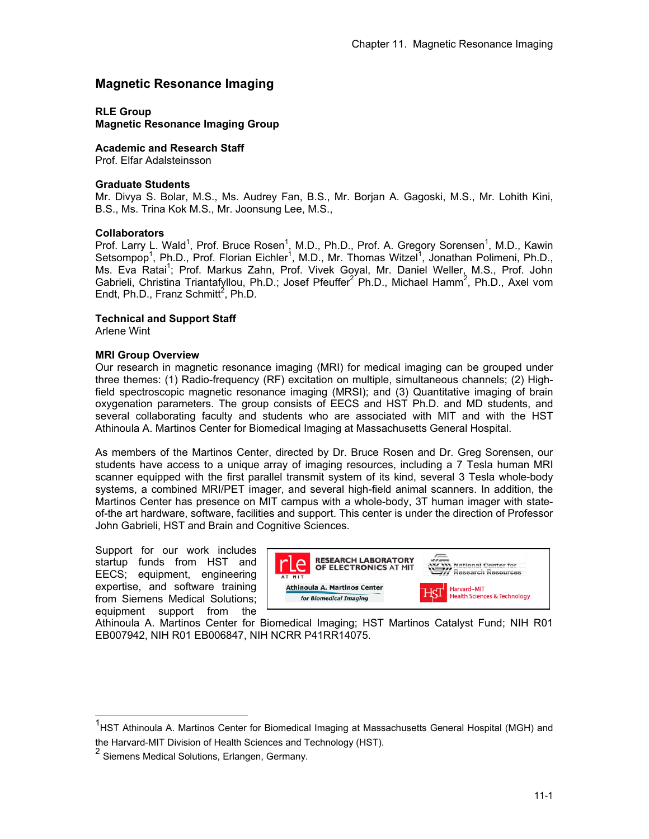# **Magnetic Resonance Imaging**

**RLE Group** 

**Magnetic Resonance Imaging Group** 

**Academic and Research Staff** 

Prof. Elfar Adalsteinsson

### **Graduate Students**

Mr. Divya S. Bolar, M.S., Ms. Audrey Fan, B.S., Mr. Borjan A. Gagoski, M.S., Mr. Lohith Kini, B.S., Ms. Trina Kok M.S., Mr. Joonsung Lee, M.S.,

#### **Collaborators**

Prof. Larry L. Wald<sup>1</sup>, Prof. Bruce Rosen<sup>1</sup>, M.D., Ph.D., Prof. A. Gregory Sorensen<sup>1</sup>, M.D., Kawin Setsompop<sup>1</sup>, Ph.D., Prof. Florian Eichler<sup>1</sup>, M.D., Mr. Thomas Witzel<sup>1</sup>, Jonathan Polimeni, Ph.D., Ms. Eva Ratai<sup>1</sup>; Prof. Markus Zahn, Prof. Vivek Goyal, Mr. Daniel Weller, M.S., Prof. John Gabrieli, Christina Triantafyllou, Ph.D.; Josef Pfeuffer<sup>2</sup> Ph.D., Michael Hamm<sup>2</sup>, Ph.D., Axel vom Endt, Ph.D., Franz Schmitt<sup>2</sup>, Ph.D.

### **Technical and Support Staff**

Arlene Wint

-

#### **MRI Group Overview**

Our research in magnetic resonance imaging (MRI) for medical imaging can be grouped under three themes: (1) Radio-frequency (RF) excitation on multiple, simultaneous channels; (2) Highfield spectroscopic magnetic resonance imaging (MRSI); and (3) Quantitative imaging of brain oxygenation parameters. The group consists of EECS and HST Ph.D. and MD students, and several collaborating faculty and students who are associated with MIT and with the HST Athinoula A. Martinos Center for Biomedical Imaging at Massachusetts General Hospital.

As members of the Martinos Center, directed by Dr. Bruce Rosen and Dr. Greg Sorensen, our students have access to a unique array of imaging resources, including a 7 Tesla human MRI scanner equipped with the first parallel transmit system of its kind, several 3 Tesla whole-body systems, a combined MRI/PET imager, and several high-field animal scanners. In addition, the Martinos Center has presence on MIT campus with a whole-body, 3T human imager with stateof-the art hardware, software, facilities and support. This center is under the direction of Professor John Gabrieli, HST and Brain and Cognitive Sciences.

Support for our work includes startup funds from HST and EECS; equipment, engineering expertise, and software training from Siemens Medical Solutions; equipment support from the



Athinoula A. Martinos Center for Biomedical Imaging; HST Martinos Catalyst Fund; NIH R01 EB007942, NIH R01 EB006847, NIH NCRR P41RR14075.

<sup>&</sup>lt;sup>1</sup>HST Athinoula A. Martinos Center for Biomedical Imaging at Massachusetts General Hospital (MGH) and the Harvard-MIT Division of Health Sciences and Technology (HST).

<sup>2</sup> Siemens Medical Solutions, Erlangen, Germany.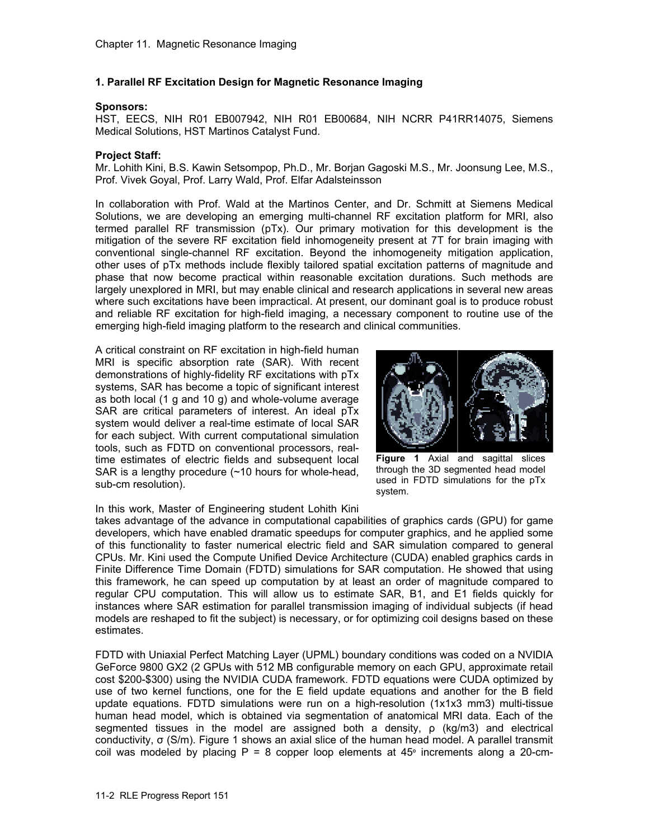### **1. Parallel RF Excitation Design for Magnetic Resonance Imaging**

### **Sponsors:**

HST, EECS, NIH R01 EB007942, NIH R01 EB00684, NIH NCRR P41RR14075, Siemens Medical Solutions, HST Martinos Catalyst Fund.

### **Project Staff:**

Mr. Lohith Kini, B.S. Kawin Setsompop, Ph.D., Mr. Borjan Gagoski M.S., Mr. Joonsung Lee, M.S., Prof. Vivek Goyal, Prof. Larry Wald, Prof. Elfar Adalsteinsson

In collaboration with Prof. Wald at the Martinos Center, and Dr. Schmitt at Siemens Medical Solutions, we are developing an emerging multi-channel RF excitation platform for MRI, also termed parallel RF transmission (pTx). Our primary motivation for this development is the mitigation of the severe RF excitation field inhomogeneity present at 7T for brain imaging with conventional single-channel RF excitation. Beyond the inhomogeneity mitigation application, other uses of pTx methods include flexibly tailored spatial excitation patterns of magnitude and phase that now become practical within reasonable excitation durations. Such methods are largely unexplored in MRI, but may enable clinical and research applications in several new areas where such excitations have been impractical. At present, our dominant goal is to produce robust and reliable RF excitation for high-field imaging, a necessary component to routine use of the emerging high-field imaging platform to the research and clinical communities.

A critical constraint on RF excitation in high-field human MRI is specific absorption rate (SAR). With recent demonstrations of highly-fidelity RF excitations with pTx systems, SAR has become a topic of significant interest as both local (1 g and 10 g) and whole-volume average SAR are critical parameters of interest. An ideal pTx system would deliver a real-time estimate of local SAR for each subject. With current computational simulation tools, such as FDTD on conventional processors, realtime estimates of electric fields and subsequent local SAR is a lengthy procedure (~10 hours for whole-head, sub-cm resolution).



**Figure 1** Axial and sagittal slices through the 3D segmented head model used in FDTD simulations for the pTx system.

In this work, Master of Engineering student Lohith Kini takes advantage of the advance in computational capabilities of graphics cards (GPU) for game developers, which have enabled dramatic speedups for computer graphics, and he applied some of this functionality to faster numerical electric field and SAR simulation compared to general CPUs. Mr. Kini used the Compute Unified Device Architecture (CUDA) enabled graphics cards in Finite Difference Time Domain (FDTD) simulations for SAR computation. He showed that using this framework, he can speed up computation by at least an order of magnitude compared to regular CPU computation. This will allow us to estimate SAR, B1, and E1 fields quickly for instances where SAR estimation for parallel transmission imaging of individual subjects (if head models are reshaped to fit the subject) is necessary, or for optimizing coil designs based on these estimates.

FDTD with Uniaxial Perfect Matching Layer (UPML) boundary conditions was coded on a NVIDIA GeForce 9800 GX2 (2 GPUs with 512 MB configurable memory on each GPU, approximate retail cost \$200-\$300) using the NVIDIA CUDA framework. FDTD equations were CUDA optimized by use of two kernel functions, one for the E field update equations and another for the B field update equations. FDTD simulations were run on a high-resolution (1x1x3 mm3) multi-tissue human head model, which is obtained via segmentation of anatomical MRI data. Each of the segmented tissues in the model are assigned both a density, ρ (kg/m3) and electrical conductivity, σ (S/m). Figure 1 shows an axial slice of the human head model. A parallel transmit coil was modeled by placing  $P = 8$  copper loop elements at  $45^{\circ}$  increments along a 20-cm-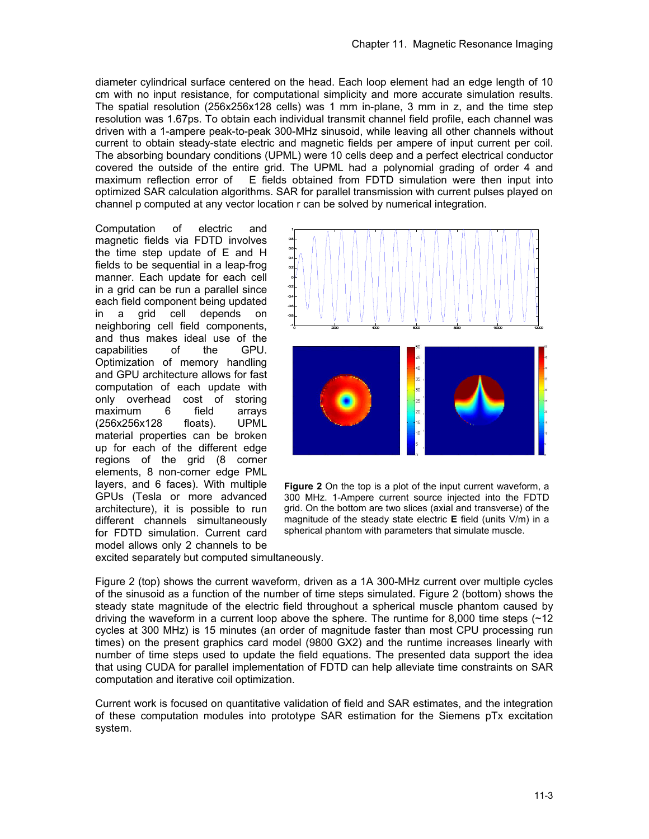diameter cylindrical surface centered on the head. Each loop element had an edge length of 10 cm with no input resistance, for computational simplicity and more accurate simulation results. The spatial resolution (256x256x128 cells) was 1 mm in-plane, 3 mm in z, and the time step resolution was 1.67ps. To obtain each individual transmit channel field profile, each channel was driven with a 1-ampere peak-to-peak 300-MHz sinusoid, while leaving all other channels without current to obtain steady-state electric and magnetic fields per ampere of input current per coil. The absorbing boundary conditions (UPML) were 10 cells deep and a perfect electrical conductor covered the outside of the entire grid. The UPML had a polynomial grading of order 4 and maximum reflection error of E fields obtained from FDTD simulation were then input into E fields obtained from FDTD simulation were then input into optimized SAR calculation algorithms. SAR for parallel transmission with current pulses played on channel p computed at any vector location r can be solved by numerical integration.

Computation of electric and magnetic fields via FDTD involves the time step update of E and H fields to be sequential in a leap-frog manner. Each update for each cell in a grid can be run a parallel since each field component being updated in a grid cell depends on neighboring cell field components, and thus makes ideal use of the capabilities of the GPU. Optimization of memory handling and GPU architecture allows for fast computation of each update with only overhead cost of storing maximum 6 field arrays (256x256x128 floats). UPML material properties can be broken up for each of the different edge regions of the grid (8 corner elements, 8 non-corner edge PML layers, and 6 faces). With multiple GPUs (Tesla or more advanced architecture), it is possible to run different channels simultaneously for FDTD simulation. Current card model allows only 2 channels to be



**Figure 2** On the top is a plot of the input current waveform, a 300 MHz. 1-Ampere current source injected into the FDTD grid. On the bottom are two slices (axial and transverse) of the magnitude of the steady state electric **E** field (units V/m) in a spherical phantom with parameters that simulate muscle.

excited separately but computed simultaneously.

Figure 2 (top) shows the current waveform, driven as a 1A 300-MHz current over multiple cycles of the sinusoid as a function of the number of time steps simulated. Figure 2 (bottom) shows the steady state magnitude of the electric field throughout a spherical muscle phantom caused by driving the waveform in a current loop above the sphere. The runtime for 8,000 time steps  $\sim 12$ cycles at 300 MHz) is 15 minutes (an order of magnitude faster than most CPU processing run times) on the present graphics card model (9800 GX2) and the runtime increases linearly with number of time steps used to update the field equations. The presented data support the idea that using CUDA for parallel implementation of FDTD can help alleviate time constraints on SAR computation and iterative coil optimization.

Current work is focused on quantitative validation of field and SAR estimates, and the integration of these computation modules into prototype SAR estimation for the Siemens pTx excitation system.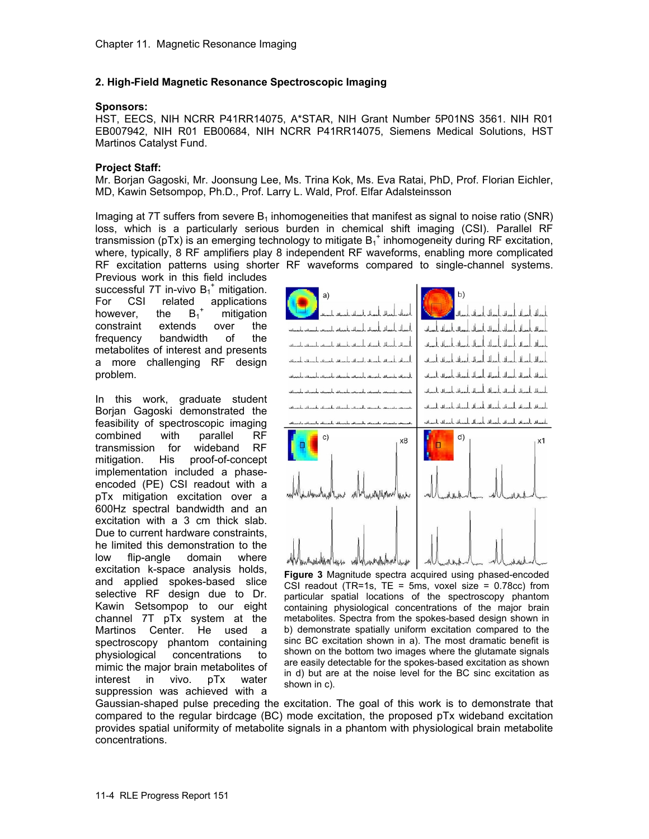### **2. High-Field Magnetic Resonance Spectroscopic Imaging**

### **Sponsors:**

HST, EECS, NIH NCRR P41RR14075, A\*STAR, NIH Grant Number 5P01NS 3561. NIH R01 EB007942, NIH R01 EB00684, NIH NCRR P41RR14075, Siemens Medical Solutions, HST Martinos Catalyst Fund.

### **Project Staff:**

Mr. Borjan Gagoski, Mr. Joonsung Lee, Ms. Trina Kok, Ms. Eva Ratai, PhD, Prof. Florian Eichler, MD, Kawin Setsompop, Ph.D., Prof. Larry L. Wald, Prof. Elfar Adalsteinsson

Imaging at 7T suffers from severe  $B_1$  inhomogeneities that manifest as signal to noise ratio (SNR) loss, which is a particularly serious burden in chemical shift imaging (CSI). Parallel RF transmission (pTx) is an emerging technology to mitigate  $B_1^+$  inhomogeneity during RF excitation, where, typically, 8 RF amplifiers play 8 independent RF waveforms, enabling more complicated RF excitation patterns using shorter RF waveforms compared to single-channel systems.

Previous work in this field includes successful 7T in-vivo  $B_1^+$  mitigation. For CSI related applications however, the  $B_1^+$  mitigation constraint extends over the frequency bandwidth of the metabolites of interest and presents a more challenging RF design problem.

In this work, graduate student Borjan Gagoski demonstrated the feasibility of spectroscopic imaging combined with parallel RF transmission for wideband RF mitigation. His proof-of-concept implementation included a phaseencoded (PE) CSI readout with a pTx mitigation excitation over a 600Hz spectral bandwidth and an excitation with a 3 cm thick slab. Due to current hardware constraints, he limited this demonstration to the low flip-angle domain where excitation k-space analysis holds, and applied spokes-based slice selective RF design due to Dr. Kawin Setsompop to our eight channel 7T pTx system at the Martinos Center. He used a spectroscopy phantom containing physiological concentrations to mimic the major brain metabolites of interest in vivo. pTx water suppression was achieved with a



**Figure 3** Magnitude spectra acquired using phased-encoded CSI readout (TR=1s, TE = 5ms, voxel size =  $0.78cc$ ) from particular spatial locations of the spectroscopy phantom containing physiological concentrations of the major brain metabolites. Spectra from the spokes-based design shown in b) demonstrate spatially uniform excitation compared to the sinc BC excitation shown in a). The most dramatic benefit is shown on the bottom two images where the glutamate signals are easily detectable for the spokes-based excitation as shown in d) but are at the noise level for the BC sinc excitation as shown in c).

Gaussian-shaped pulse preceding the excitation. The goal of this work is to demonstrate that compared to the regular birdcage (BC) mode excitation, the proposed pTx wideband excitation provides spatial uniformity of metabolite signals in a phantom with physiological brain metabolite concentrations.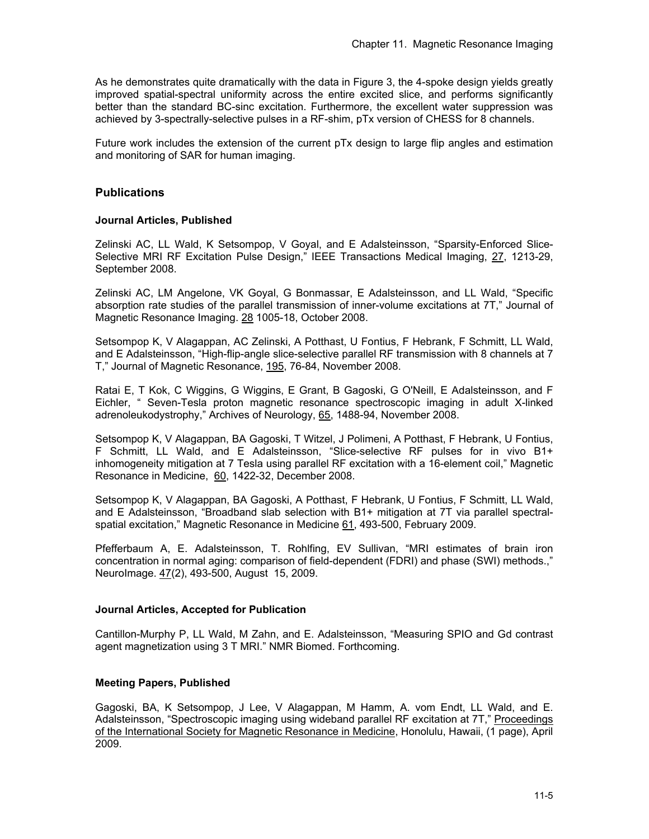As he demonstrates quite dramatically with the data in Figure 3, the 4-spoke design yields greatly improved spatial-spectral uniformity across the entire excited slice, and performs significantly better than the standard BC-sinc excitation. Furthermore, the excellent water suppression was achieved by 3-spectrally-selective pulses in a RF-shim, pTx version of CHESS for 8 channels.

Future work includes the extension of the current pTx design to large flip angles and estimation and monitoring of SAR for human imaging.

# **Publications**

### **Journal Articles, Published**

Zelinski AC, LL Wald, K Setsompop, V Goyal, and E Adalsteinsson, "Sparsity-Enforced Slice-Selective MRI RF Excitation Pulse Design," IEEE Transactions Medical Imaging, 27, 1213-29, September 2008.

Zelinski AC, LM Angelone, VK Goyal, G Bonmassar, E Adalsteinsson, and LL Wald, "Specific absorption rate studies of the parallel transmission of inner-volume excitations at 7T," Journal of Magnetic Resonance Imaging. 28 1005-18, October 2008.

Setsompop K, V Alagappan, AC Zelinski, A Potthast, U Fontius, F Hebrank, F Schmitt, LL Wald, and E Adalsteinsson, "High-flip-angle slice-selective parallel RF transmission with 8 channels at 7 T," Journal of Magnetic Resonance, 195, 76-84, November 2008.

Ratai E, T Kok, C Wiggins, G Wiggins, E Grant, B Gagoski, G O'Neill, E Adalsteinsson, and F Eichler, " Seven-Tesla proton magnetic resonance spectroscopic imaging in adult X-linked adrenoleukodystrophy," Archives of Neurology, 65, 1488-94, November 2008.

Setsompop K, V Alagappan, BA Gagoski, T Witzel, J Polimeni, A Potthast, F Hebrank, U Fontius, F Schmitt, LL Wald, and E Adalsteinsson, "Slice-selective RF pulses for in vivo B1+ inhomogeneity mitigation at 7 Tesla using parallel RF excitation with a 16-element coil," Magnetic Resonance in Medicine, 60, 1422-32, December 2008.

Setsompop K, V Alagappan, BA Gagoski, A Potthast, F Hebrank, U Fontius, F Schmitt, LL Wald, and E Adalsteinsson, "Broadband slab selection with B1+ mitigation at 7T via parallel spectralspatial excitation," Magnetic Resonance in Medicine 61, 493-500, February 2009.

Pfefferbaum A, E. Adalsteinsson, T. Rohlfing, EV Sullivan, "MRI estimates of brain iron concentration in normal aging: comparison of field-dependent (FDRI) and phase (SWI) methods.," NeuroImage. 47(2), 493-500, August 15, 2009.

### **Journal Articles, Accepted for Publication**

Cantillon-Murphy P, LL Wald, M Zahn, and E. Adalsteinsson, "Measuring SPIO and Gd contrast agent magnetization using 3 T MRI." NMR Biomed. Forthcoming.

# **Meeting Papers, Published**

Gagoski, BA, K Setsompop, J Lee, V Alagappan, M Hamm, A. vom Endt, LL Wald, and E. Adalsteinsson, "Spectroscopic imaging using wideband parallel RF excitation at 7T," Proceedings of the International Society for Magnetic Resonance in Medicine, Honolulu, Hawaii, (1 page), April 2009.